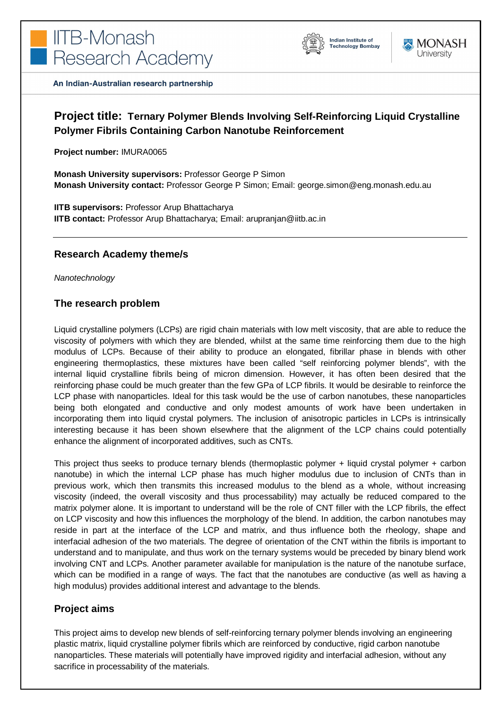



An Indian-Australian research partnership

# **Project title: Ternary Polymer Blends Involving Self-Reinforcing Liquid Crystalline Polymer Fibrils Containing Carbon Nanotube Reinforcement**

**Project number:** IMURA0065

**Monash University supervisors:** Professor George P Simon **Monash University contact:** Professor George P Simon; Email: george.simon@eng.monash.edu.au

**IITB supervisors:** Professor Arup Bhattacharya **IITB contact:** Professor Arup Bhattacharya; Email: arupranjan@iitb.ac.in

#### **Research Academy theme/s**

*Nanotechnology* 

## **The research problem**

Liquid crystalline polymers (LCPs) are rigid chain materials with low melt viscosity, that are able to reduce the viscosity of polymers with which they are blended, whilst at the same time reinforcing them due to the high modulus of LCPs. Because of their ability to produce an elongated, fibrillar phase in blends with other engineering thermoplastics, these mixtures have been called "self reinforcing polymer blends", with the internal liquid crystalline fibrils being of micron dimension. However, it has often been desired that the reinforcing phase could be much greater than the few GPa of LCP fibrils. It would be desirable to reinforce the LCP phase with nanoparticles. Ideal for this task would be the use of carbon nanotubes, these nanoparticles being both elongated and conductive and only modest amounts of work have been undertaken in incorporating them into liquid crystal polymers. The inclusion of anisotropic particles in LCPs is intrinsically interesting because it has been shown elsewhere that the alignment of the LCP chains could potentially enhance the alignment of incorporated additives, such as CNTs.

This project thus seeks to produce ternary blends (thermoplastic polymer + liquid crystal polymer + carbon nanotube) in which the internal LCP phase has much higher modulus due to inclusion of CNTs than in previous work, which then transmits this increased modulus to the blend as a whole, without increasing viscosity (indeed, the overall viscosity and thus processability) may actually be reduced compared to the matrix polymer alone. It is important to understand will be the role of CNT filler with the LCP fibrils, the effect on LCP viscosity and how this influences the morphology of the blend. In addition, the carbon nanotubes may reside in part at the interface of the LCP and matrix, and thus influence both the rheology, shape and interfacial adhesion of the two materials. The degree of orientation of the CNT within the fibrils is important to understand and to manipulate, and thus work on the ternary systems would be preceded by binary blend work involving CNT and LCPs. Another parameter available for manipulation is the nature of the nanotube surface, which can be modified in a range of ways. The fact that the nanotubes are conductive (as well as having a high modulus) provides additional interest and advantage to the blends.

# **Project aims**

This project aims to develop new blends of self-reinforcing ternary polymer blends involving an engineering plastic matrix, liquid crystalline polymer fibrils which are reinforced by conductive, rigid carbon nanotube nanoparticles. These materials will potentially have improved rigidity and interfacial adhesion, without any sacrifice in processability of the materials.